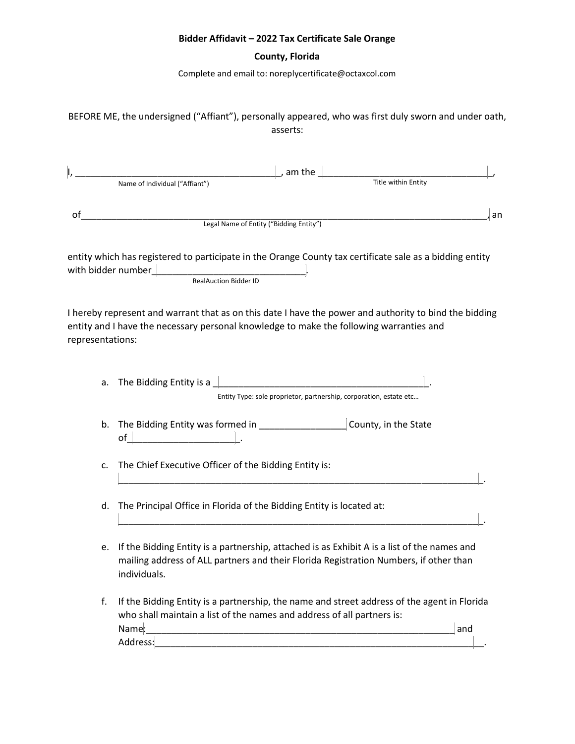## **Bidder Affidavit – 2022 Tax Certificate Sale Orange**

## **County, Florida**

Complete and email to: noreplycertificate@octaxcol.com

BEFORE ME, the undersigned ("Affiant"), personally appeared, who was first duly sworn and under oath, asserts:

|                  | Name of Individual ("Affiant")                                                                                                                                                                       | , am the | Title within Entity                                                                                                   |     |
|------------------|------------------------------------------------------------------------------------------------------------------------------------------------------------------------------------------------------|----------|-----------------------------------------------------------------------------------------------------------------------|-----|
|                  |                                                                                                                                                                                                      |          |                                                                                                                       |     |
|                  | Legal Name of Entity ("Bidding Entity")                                                                                                                                                              |          |                                                                                                                       | an  |
|                  | entity which has registered to participate in the Orange County tax certificate sale as a bidding entity<br><b>RealAuction Bidder ID</b>                                                             |          |                                                                                                                       |     |
| representations: | I hereby represent and warrant that as on this date I have the power and authority to bind the bidding<br>entity and I have the necessary personal knowledge to make the following warranties and    |          |                                                                                                                       |     |
|                  |                                                                                                                                                                                                      |          | Entity Type: sole proprietor, partnership, corporation, estate etc                                                    |     |
|                  | b. The Bidding Entity was formed in $\Box$ County, in the State of $\Box$                                                                                                                            |          |                                                                                                                       |     |
| c.               | The Chief Executive Officer of the Bidding Entity is:                                                                                                                                                |          | <u> 1980 - Johann John Stone, mars and de film and de film and de film and de film and de film and de film and de</u> |     |
| d.               | The Principal Office in Florida of the Bidding Entity is located at:                                                                                                                                 |          |                                                                                                                       |     |
| e.               | If the Bidding Entity is a partnership, attached is as Exhibit A is a list of the names and<br>mailing address of ALL partners and their Florida Registration Numbers, if other than<br>individuals. |          |                                                                                                                       |     |
| f.               | If the Bidding Entity is a partnership, the name and street address of the agent in Florida<br>who shall maintain a list of the names and address of all partners is:<br>Name:<br>Address:           |          |                                                                                                                       | and |